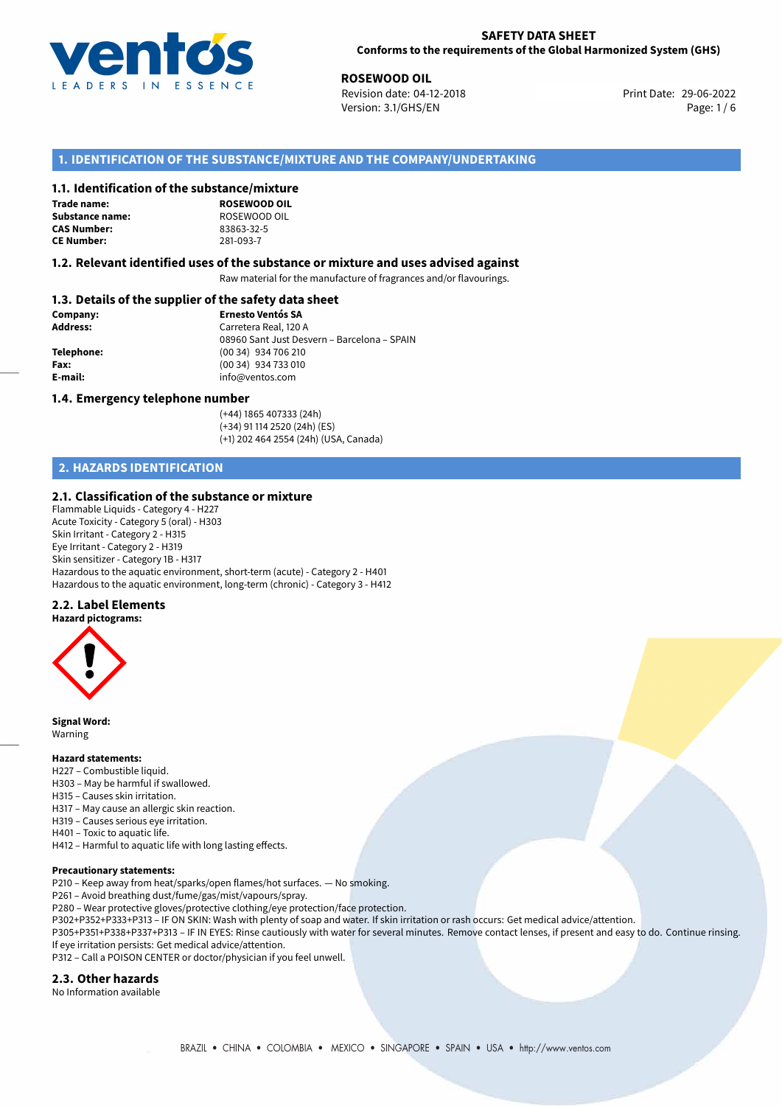

**ROSEWOOD OIL**<br>
Revision date: 04-12-2018 **Print Date: 29-06-2022** Version: 3.1/GHS/EN Page: 1 / 6

# **1. IDENTIFICATION OF THE SUBSTANCE/MIXTURE AND THE COMPANY/UNDERTAKING**

#### **1.1. Identification of the substance/mixture**

**Trade name: Substance name:** ROSEWOOD OIL<br> **CAS Number:** 83863-32-5 **CAS Number: CE Number:** 281-093-7

**ROSEWOOD OIL**

#### **1.2. Relevant identified uses of the substance or mixture and uses advised against**

Raw material for the manufacture of fragrances and/or flavourings.

# **1.3. Details of the supplier of the safety data sheet**

| Company:        | <b>Ernesto Ventós SA</b>                    |  |
|-----------------|---------------------------------------------|--|
| <b>Address:</b> | Carretera Real, 120 A                       |  |
|                 | 08960 Sant Just Desvern - Barcelona - SPAIN |  |
| Telephone:      | $(0034)$ 934 706 210                        |  |
| Fax:            | (00 34) 934 733 010                         |  |
| E-mail:         | info@ventos.com                             |  |
|                 |                                             |  |

#### **1.4. Emergency telephone number**

(+44) 1865 407333 (24h) (+34) 91 114 2520 (24h) (ES) (+1) 202 464 2554 (24h) (USA, Canada)

# **2. HAZARDS IDENTIFICATION**

## **2.1. Classification of the substance or mixture**

Flammable Liquids - Category 4 - H227 Acute Toxicity - Category 5 (oral) - H303 Skin Irritant - Category 2 - H315 Eye Irritant - Category 2 - H319 Skin sensitizer - Category 1B - H317 Hazardous to the aquatic environment, short-term (acute) - Category 2 - H401 Hazardous to the aquatic environment, long-term (chronic) - Category 3 - H412

## **2.2. Label Elements**



**Signal Word:** Warning

#### **Hazard statements:**

- H227 Combustible liquid.
- H303 May be harmful if swallowed.
- H315 Causes skin irritation.
- H317 May cause an allergic skin reaction.
- H319 Causes serious eye irritation.
- H401 Toxic to aquatic life.
- H412 Harmful to aquatic life with long lasting effects.

#### **Precautionary statements:**

P210 – Keep away from heat/sparks/open flames/hot surfaces. — No smoking.

- P261 Avoid breathing dust/fume/gas/mist/vapours/spray.
- P280 Wear protective gloves/protective clothing/eye protection/face protection.
- P302+P352+P333+P313 IF ON SKIN: Wash with plenty of soap and water. If skin irritation or rash occurs: Get medical advice/attention.
- P305+P351+P338+P337+P313 IF IN EYES: Rinse cautiously with water for several minutes. Remove contact lenses, if present and easy to do. Continue rinsing. If eye irritation persists: Get medical advice/attention.

P312 – Call a POISON CENTER or doctor/physician if you feel unwell.

## **2.3. Other hazards**

No Information available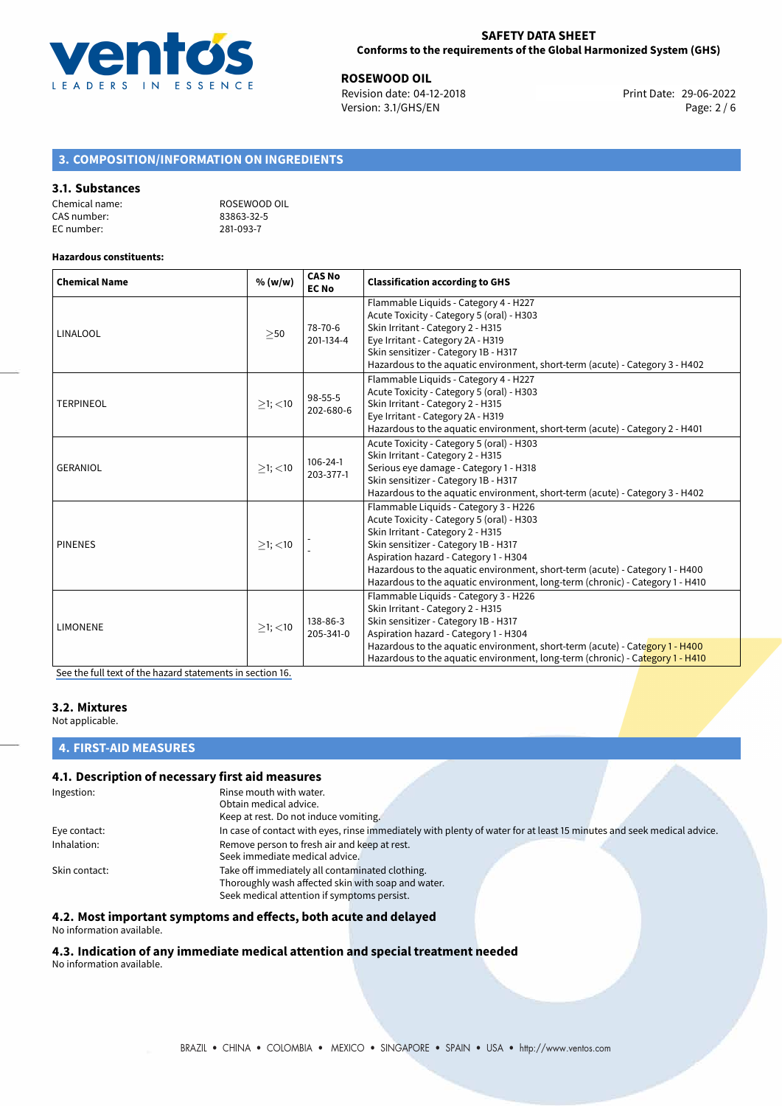

**ROSEWOOD OIL**<br>
Revision date: 04-12-2018<br> **Print Date: 29-06-2022** Revision date: 04-12-2018 Version: 3.1/GHS/EN Page: 2 / 6

# **3. COMPOSITION/INFORMATION ON INGREDIENTS**

## **3.1. Substances**

| Chemical name: | ROSEWOOD OIL |
|----------------|--------------|
| CAS number:    | 83863-32-5   |
| EC number:     | 281-093-7    |

#### **Hazardous constituents:**

| <b>Chemical Name</b> | % (w/w)       | <b>CAS No</b><br><b>EC No</b> | <b>Classification according to GHS</b>                                                                                                                                                                                                                                                                                                                                    |  |
|----------------------|---------------|-------------------------------|---------------------------------------------------------------------------------------------------------------------------------------------------------------------------------------------------------------------------------------------------------------------------------------------------------------------------------------------------------------------------|--|
| <b>LINALOOL</b>      | >50           | 78-70-6<br>201-134-4          | Flammable Liquids - Category 4 - H227<br>Acute Toxicity - Category 5 (oral) - H303<br>Skin Irritant - Category 2 - H315<br>Eye Irritant - Category 2A - H319<br>Skin sensitizer - Category 1B - H317<br>Hazardous to the aquatic environment, short-term (acute) - Category 3 - H402                                                                                      |  |
| <b>TERPINEOL</b>     | $>1$ ; <10    | 98-55-5<br>202-680-6          | Flammable Liquids - Category 4 - H227<br>Acute Toxicity - Category 5 (oral) - H303<br>Skin Irritant - Category 2 - H315<br>Eye Irritant - Category 2A - H319<br>Hazardous to the aquatic environment, short-term (acute) - Category 2 - H401                                                                                                                              |  |
| <b>GERANIOL</b>      | $>1$ ; <10    | $106 - 24 - 1$<br>203-377-1   | Acute Toxicity - Category 5 (oral) - H303<br>Skin Irritant - Category 2 - H315<br>Serious eye damage - Category 1 - H318<br>Skin sensitizer - Category 1B - H317<br>Hazardous to the aquatic environment, short-term (acute) - Category 3 - H402                                                                                                                          |  |
| <b>PINENES</b>       | $\geq$ 1; <10 |                               | Flammable Liquids - Category 3 - H226<br>Acute Toxicity - Category 5 (oral) - H303<br>Skin Irritant - Category 2 - H315<br>Skin sensitizer - Category 1B - H317<br>Aspiration hazard - Category 1 - H304<br>Hazardous to the aquatic environment, short-term (acute) - Category 1 - H400<br>Hazardous to the aquatic environment, long-term (chronic) - Category 1 - H410 |  |
| <b>LIMONENE</b>      | $>1$ ; <10    | 138-86-3<br>205-341-0         | Flammable Liquids - Category 3 - H226<br>Skin Irritant - Category 2 - H315<br>Skin sensitizer - Category 1B - H317<br>Aspiration hazard - Category 1 - H304<br>Hazardous to the aquatic environment, short-term (acute) - Category 1 - H400<br>Hazardous to the aquatic environment, long-term (chronic) - Category 1 - H410                                              |  |

[See the full text of the hazard statements in section 16.](#page-4-0)

#### **3.2. Mixtures**

Not applicable.

## **4. FIRST-AID MEASURES**

# **4.1. Description of necessary first aid measures**

| Ingestion:    | Rinse mouth with water.                                                                                               |
|---------------|-----------------------------------------------------------------------------------------------------------------------|
|               | Obtain medical advice.                                                                                                |
|               | Keep at rest. Do not induce vomiting.                                                                                 |
| Eye contact:  | In case of contact with eyes, rinse immediately with plenty of water for at least 15 minutes and seek medical advice. |
| Inhalation:   | Remove person to fresh air and keep at rest.                                                                          |
|               | Seek immediate medical advice.                                                                                        |
| Skin contact: | Take off immediately all contaminated clothing.                                                                       |
|               | Thoroughly wash affected skin with soap and water.                                                                    |
|               | Seek medical attention if symptoms persist.                                                                           |

**4.2. Most important symptoms and effects, both acute and delayed**

No information available.

**4.3. Indication of any immediate medical attention and special treatment needed** No information available.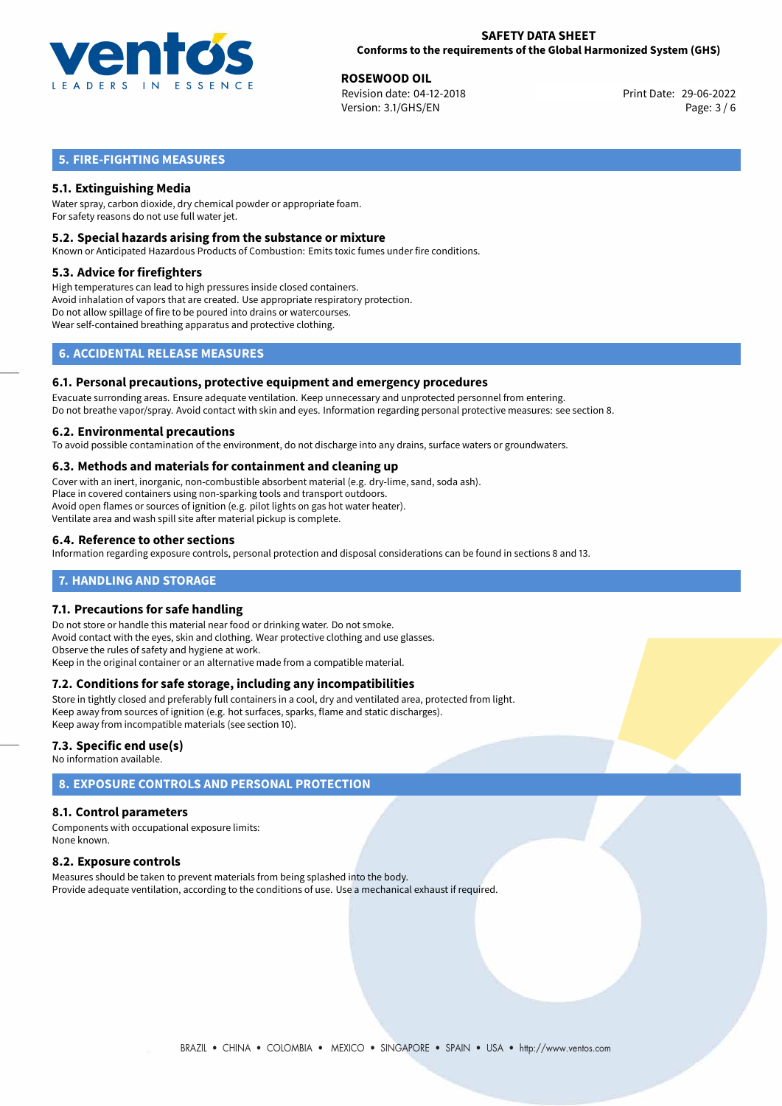

**ROSEWOOD OIL**<br>
Revision date: 04-12-2018 **Print Date: 29-06-2022** Version: 3.1/GHS/EN Page: 3 / 6

# **5. FIRE-FIGHTING MEASURES**

# **5.1. Extinguishing Media**

Water spray, carbon dioxide, dry chemical powder or appropriate foam. For safety reasons do not use full water jet.

#### **5.2. Special hazards arising from the substance or mixture**

Known or Anticipated Hazardous Products of Combustion: Emits toxic fumes under fire conditions.

#### **5.3. Advice for firefighters**

High temperatures can lead to high pressures inside closed containers. Avoid inhalation of vapors that are created. Use appropriate respiratory protection. Do not allow spillage of fire to be poured into drains or watercourses. Wear self-contained breathing apparatus and protective clothing.

# **6. ACCIDENTAL RELEASE MEASURES**

#### **6.1. Personal precautions, protective equipment and emergency procedures**

Evacuate surronding areas. Ensure adequate ventilation. Keep unnecessary and unprotected personnel from entering. Do not breathe vapor/spray. Avoid contact with skin and eyes. Information regarding personal protective measures: see section 8.

#### **6.2. Environmental precautions**

To avoid possible contamination of the environment, do not discharge into any drains, surface waters or groundwaters.

#### **6.3. Methods and materials for containment and cleaning up**

Cover with an inert, inorganic, non-combustible absorbent material (e.g. dry-lime, sand, soda ash). Place in covered containers using non-sparking tools and transport outdoors. Avoid open flames or sources of ignition (e.g. pilot lights on gas hot water heater). Ventilate area and wash spill site after material pickup is complete.

## **6.4. Reference to other sections**

Information regarding exposure controls, personal protection and disposal considerations can be found in sections 8 and 13.

# **7. HANDLING AND STORAGE**

## **7.1. Precautions for safe handling**

Do not store or handle this material near food or drinking water. Do not smoke. Avoid contact with the eyes, skin and clothing. Wear protective clothing and use glasses. Observe the rules of safety and hygiene at work. Keep in the original container or an alternative made from a compatible material.

## **7.2. Conditions for safe storage, including any incompatibilities**

Store in tightly closed and preferably full containers in a cool, dry and ventilated area, protected from light. Keep away from sources of ignition (e.g. hot surfaces, sparks, flame and static discharges). Keep away from incompatible materials (see section 10).

## **7.3. Specific end use(s)**

No information available.

# **8. EXPOSURE CONTROLS AND PERSONAL PROTECTION**

## **8.1. Control parameters**

Components with occupational exposure limits: None known.

## **8.2. Exposure controls**

Measures should be taken to prevent materials from being splashed into the body. Provide adequate ventilation, according to the conditions of use. Use a mechanical exhaust if required.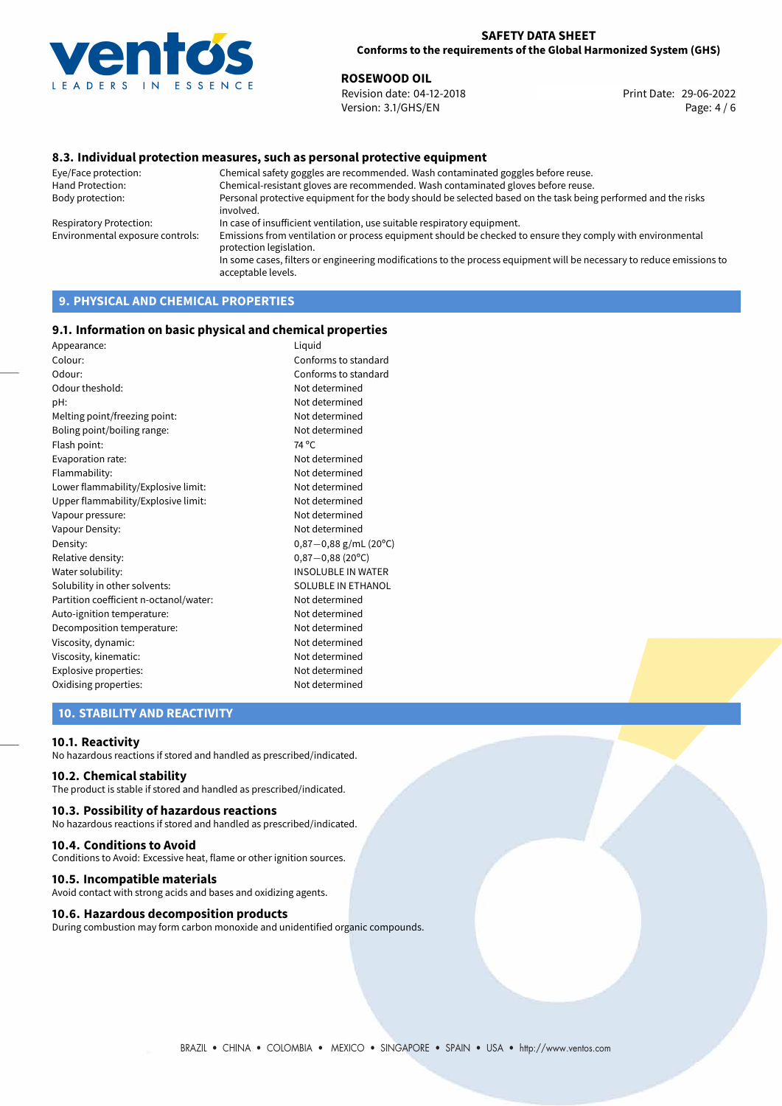

**ROSEWOOD OIL**<br>
Revision date: 04-12-2018<br> **Print Date: 29-06-2022** Revision date: 04-12-2018 Version: 3.1/GHS/EN Page: 4 / 6

# **8.3. Individual protection measures, such as personal protective equipment**

Eye/Face protection: Chemical safety goggles are recommended. Wash contaminated goggles before reuse. Chemical-resistant gloves are recommended. Wash contaminated gloves before reuse. Body protection: Personal protective equipment for the body should be selected based on the task being performed and the risks involved. Respiratory Protection: In case of insufficient ventilation, use suitable respiratory equipment. Environmental exposure controls: Emissions from ventilation or process equipment should be checked to ensure they comply with environmental protection legislation. In some cases, filters or engineering modifications to the process equipment will be necessary to reduce emissions to acceptable levels.

# **9. PHYSICAL AND CHEMICAL PROPERTIES**

#### **9.1. Information on basic physical and chemical properties**

| Appearance:                            | Liguid                    |
|----------------------------------------|---------------------------|
| Colour:                                | Conforms to standard      |
| Odour:                                 | Conforms to standard      |
| Odour theshold:                        | Not determined            |
| pH:                                    | Not determined            |
| Melting point/freezing point:          | Not determined            |
| Boling point/boiling range:            | Not determined            |
| Flash point:                           | 74 °C                     |
| Evaporation rate:                      | Not determined            |
| Flammability:                          | Not determined            |
| Lower flammability/Explosive limit:    | Not determined            |
| Upper flammability/Explosive limit:    | Not determined            |
| Vapour pressure:                       | Not determined            |
| Vapour Density:                        | Not determined            |
| Density:                               | $0,87-0,88$ g/mL (20°C)   |
| Relative density:                      | $0,87-0,88(20^{\circ}C)$  |
| Water solubility:                      | <b>INSOLUBLE IN WATER</b> |
| Solubility in other solvents:          | SOLUBLE IN ETHANOL        |
| Partition coefficient n-octanol/water: | Not determined            |
| Auto-ignition temperature:             | Not determined            |
| Decomposition temperature:             | Not determined            |
| Viscosity, dynamic:                    | Not determined            |
| Viscosity, kinematic:                  | Not determined            |
| Explosive properties:                  | Not determined            |
| Oxidising properties:                  | Not determined            |
|                                        |                           |

## **10. STABILITY AND REACTIVITY**

#### **10.1. Reactivity**

No hazardous reactions if stored and handled as prescribed/indicated.

## **10.2. Chemical stability**

The product is stable if stored and handled as prescribed/indicated.

#### **10.3. Possibility of hazardous reactions**

No hazardous reactions if stored and handled as prescribed/indicated.

#### **10.4. Conditions to Avoid**

Conditions to Avoid: Excessive heat, flame or other ignition sources.

#### **10.5. Incompatible materials**

Avoid contact with strong acids and bases and oxidizing agents.

#### **10.6. Hazardous decomposition products**

During combustion may form carbon monoxide and unidentified organic compounds.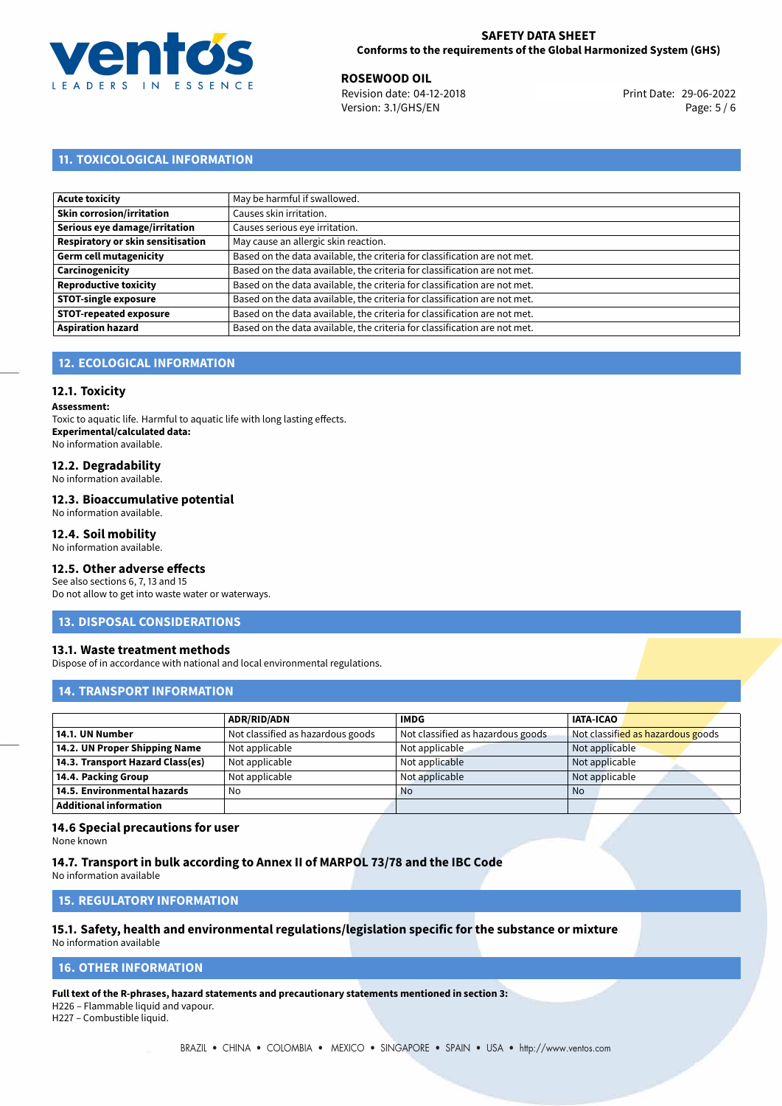

**ROSEWOOD OIL**<br>
Revision date: 04-12-2018 **Print Date: 29-06-2022** Version: 3.1/GHS/EN Page: 5 / 6

# **11. TOXICOLOGICAL INFORMATION**

| Acute toxicity                    | May be harmful if swallowed.                                              |
|-----------------------------------|---------------------------------------------------------------------------|
| Skin corrosion/irritation         | Causes skin irritation.                                                   |
| Serious eye damage/irritation     | Causes serious eye irritation.                                            |
| Respiratory or skin sensitisation | May cause an allergic skin reaction.                                      |
| Germ cell mutagenicity            | Based on the data available, the criteria for classification are not met. |
| Carcinogenicity                   | Based on the data available, the criteria for classification are not met. |
| Reproductive toxicity             | Based on the data available, the criteria for classification are not met. |
| <b>STOT-single exposure</b>       | Based on the data available, the criteria for classification are not met. |
| <b>STOT-repeated exposure</b>     | Based on the data available, the criteria for classification are not met. |
| <b>Aspiration hazard</b>          | Based on the data available, the criteria for classification are not met. |

# **12. ECOLOGICAL INFORMATION**

## **12.1. Toxicity**

**Assessment:**

Toxic to aquatic life. Harmful to aquatic life with long lasting effects. **Experimental/calculated data:** No information available.

# **12.2. Degradability**

No information available.

#### **12.3. Bioaccumulative potential**

No information available.

#### **12.4. Soil mobility**

No information available.

# **12.5. Other adverse effects**

See also sections 6, 7, 13 and 15 Do not allow to get into waste water or waterways.

#### **13. DISPOSAL CONSIDERATIONS**

## **13.1. Waste treatment methods**

Dispose of in accordance with national and local environmental regulations.

## **14. TRANSPORT INFORMATION**

|                                  | <b>ADR/RID/ADN</b>                | <b>IMDG</b>                       | <b>IATA-ICAO</b>                  |
|----------------------------------|-----------------------------------|-----------------------------------|-----------------------------------|
| 14.1. UN Number                  | Not classified as hazardous goods | Not classified as hazardous goods | Not classified as hazardous goods |
| 14.2. UN Proper Shipping Name    | Not applicable                    | Not applicable                    | Not applicable                    |
| 14.3. Transport Hazard Class(es) | Not applicable                    | Not applicable                    | Not applicable                    |
| 14.4. Packing Group              | Not applicable                    | Not applicable                    | Not applicable                    |
| 14.5. Environmental hazards      | No                                | <b>No</b>                         | <b>No</b>                         |
| <b>Additional information</b>    |                                   |                                   |                                   |

# **14.6 Special precautions for user**

None known

# **14.7. Transport in bulk according to Annex II of MARPOL 73/78 and the IBC Code**

No information available

## **15. REGULATORY INFORMATION**

#### **15.1. Safety, health and environmental regulations/legislation specific for the substance or mixture** No information available

# <span id="page-4-0"></span>**16. OTHER INFORMATION**

**Full text of the R-phrases, hazard statements and precautionary statements mentioned in section 3:**

H226 – Flammable liquid and vapour.